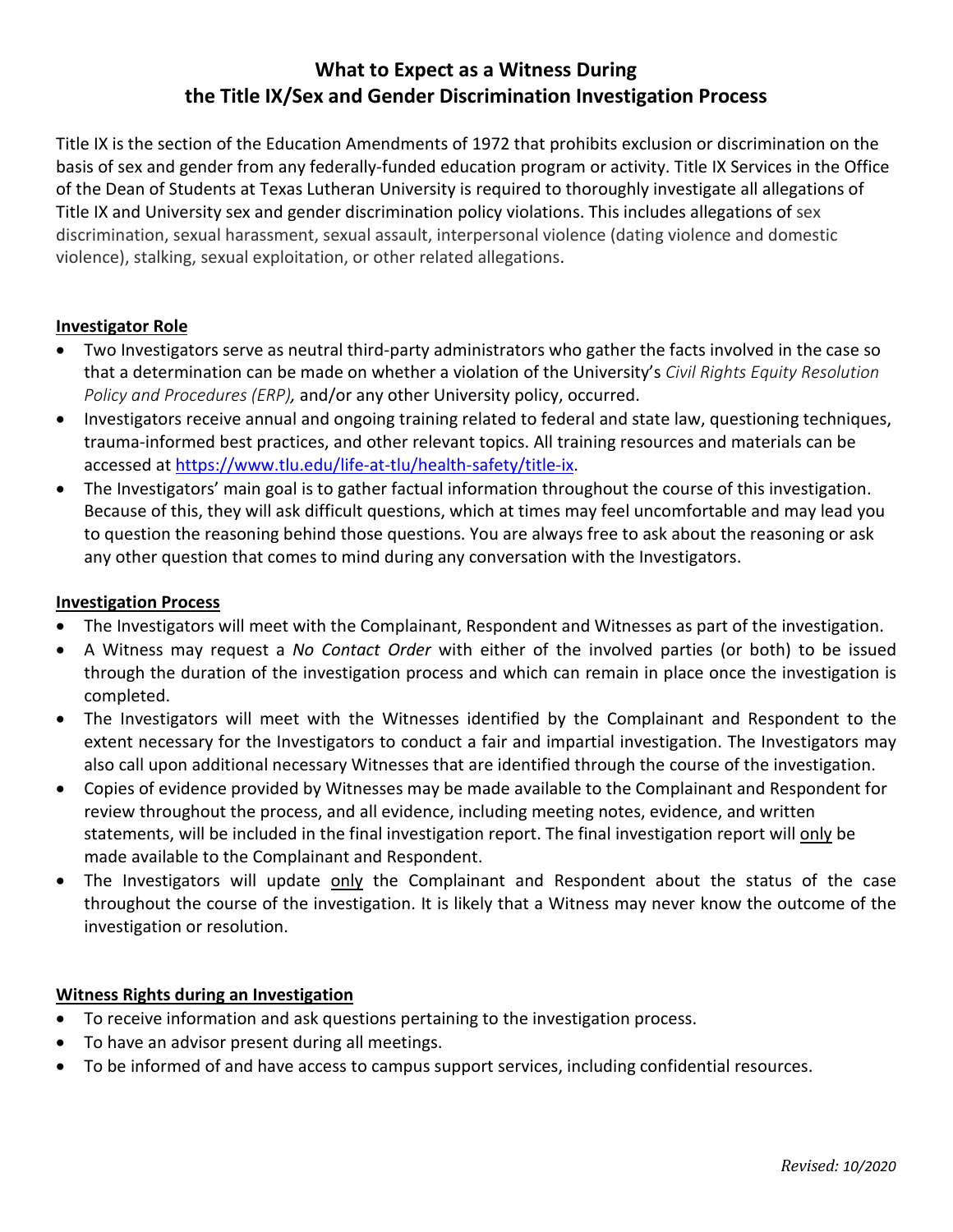# **What to Expect as a Witness During the Title IX/Sex and Gender Discrimination Investigation Process**

Title IX is the section of the Education Amendments of 1972 that prohibits exclusion or discrimination on the basis of sex and gender from any federally-funded education program or activity. Title IX Services in the Office of the Dean of Students at Texas Lutheran University is required to thoroughly investigate all allegations of Title IX and University sex and gender discrimination policy violations. This includes allegations of sex discrimination, sexual harassment, sexual assault, interpersonal violence (dating violence and domestic violence), stalking, sexual exploitation, or other related allegations.

### **Investigator Role**

- Two Investigators serve as neutral third-party administrators who gather the facts involved in the case so that a determination can be made on whether a violation of the University's *Civil Rights Equity Resolution Policy and Procedures (ERP),* and/or any other University policy, occurred.
- Investigators receive annual and ongoing training related to federal and state law, questioning techniques, trauma-informed best practices, and other relevant topics. All training resources and materials can be accessed a[t https://www.tlu.edu/life-at-tlu/health-safety/title-ix.](https://www.tlu.edu/life-at-tlu/health-safety/title-ix)
- The Investigators' main goal is to gather factual information throughout the course of this investigation. Because of this, they will ask difficult questions, which at times may feel uncomfortable and may lead you to question the reasoning behind those questions. You are always free to ask about the reasoning or ask any other question that comes to mind during any conversation with the Investigators.

### **Investigation Process**

- The Investigators will meet with the Complainant, Respondent and Witnesses as part of the investigation.
- A Witness may request a *No Contact Order* with either of the involved parties (or both) to be issued through the duration of the investigation process and which can remain in place once the investigation is completed.
- The Investigators will meet with the Witnesses identified by the Complainant and Respondent to the extent necessary for the Investigators to conduct a fair and impartial investigation. The Investigators may also call upon additional necessary Witnesses that are identified through the course of the investigation.
- Copies of evidence provided by Witnesses may be made available to the Complainant and Respondent for review throughout the process, and all evidence, including meeting notes, evidence, and written statements, will be included in the final investigation report. The final investigation report will only be made available to the Complainant and Respondent.
- The Investigators will update only the Complainant and Respondent about the status of the case throughout the course of the investigation. It is likely that a Witness may never know the outcome of the investigation or resolution.

## **Witness Rights during an Investigation**

- To receive information and ask questions pertaining to the investigation process.
- To have an advisor present during all meetings.
- To be informed of and have access to campus support services, including confidential resources.